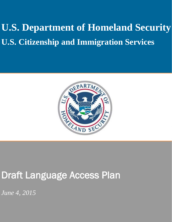# **U.S. Department of Homeland Security U.S. Citizenship and Immigration Services**



# Draft Language Access Plan

*June 4, 2015*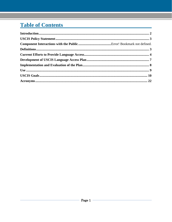# **Table of Contents**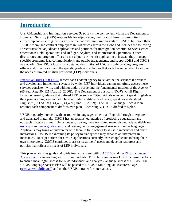### <span id="page-2-0"></span>**Introduction**

U.S. Citizenship and Immigration Services (USCIS) is the component within the Department of Homeland Security (DHS) responsible for adjudicating immigration benefits, promoting citizenship and ensuring the integrity of the nation's immigration system. USCIS has more than 18,000 federal and contract employees in 250 offices across the globe and includes the following Directorates that adjudicate applications and petitions for immigration benefits: Service Center Operations; Field Operations; and Refugee, Asylum, and International Operations. Other directorates and program offices do not adjudicate benefit applications. Instead, they manage specific programs, lead communications and public engagements, and support DHS and USCIS as a whole. See USCIS Goals for a detailed description of USCIS's public-facing program offices and directorates, and the specific goals and activities that each has undertaken to address the needs of limited English proficient (LEP) individuals.

[Executive Order \(EO\) 13166](http://www.gpo.gov/fdsys/pkg/FR-2000-08-16/pdf/00-20938.pdf) directs each Federal agency to "examine the services it provides and develop and implement a system by which LEP individuals can meaningfully access those services consistent with, and without unduly burdening the fundamental mission of the Agency," (65 Fed. Reg. 50, 121 [Aug 16, 2000]). The Department of Justice's (DOJ's) Civil Rights Division issued guidance that defined LEP persons as "[i]ndividuals who do not speak English as their primary language and who have a limited ability to read, write, speak, or understand English," (67 Fed. Reg. 41,455, 41,459 (June 18, 2002)). The DHS Language Access Plan requires each component to draft its own plan. Accordingly, USCIS drafted this plan.

USCIS regularly interacts with customers in languages other than English through interpreters and translated materials. USCIS has an established practice of producing educational and outreach materials in multiple languages, making these translated materials publicly available on [uscis.gov](http://www.uscis.gov/) and [uscis.gov/espanol,](http://www.uscis.gov/espanol) and hosting public engagement sessions in other languages. Applicants may bring an interpreter with them to field offices to assist in interviews and other interactions. USCIS is examining its policy to clarify who may serve as an interpreter in interviews. Receipt notices for USCIS applications currently instruct applicants to bring their own interpreters. USCIS continues to assess customers' needs and develop resources and policies that reflect the needs of LEP individuals.

This plan establishes goals and guidelines, consistent with [EO 13166](http://www.gpo.gov/fdsys/pkg/FR-2000-08-16/pdf/00-20938.pdf) and the [DHS Language](http://www.lep.gov/guidance/040312_crcl-dhs-language-access-plan.pdf) [Access Pl](http://www.lep.gov/guidance/040312_crcl-dhs-language-access-plan.pdf)an for interacting with LEP individuals. This plan summarizes USCIS's current efforts to ensure meaningful access for LEP individuals and analyzes language access at USCIS. The USCIS Language Access Plan will be posted to USCIS's Multilingual Resources Page [\(uscis.gov/multilingual\)](http://www.uscis.gov/multilingual) and on the USCIS intranet for internal use.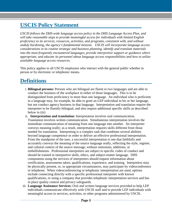# <span id="page-3-0"></span>**USCIS Policy Statement**

*USCIS follows the DHS-wide language access policy in the DHS Language Access Plan, and will take reasonable steps to provide meaningful access for individuals with limited English proficiency to its services, resources, activities, and programs, consistent with, and without unduly burdening, the agency's fundamental mission. USCIS will incorporate language access considerations in its routine strategic and business planning, identify and translate materials into the most frequently encountered languages, provide interpretive support or guidance where appropriate, and educate its personnel about language access responsibilities and how to utilize available language access resources.*

This policy applies to all USCIS employees who interact with the general public whether in person or by electronic or telephonic means.

# <span id="page-3-1"></span>**Definitions**

- i. **Bilingual persons:** Persons who are bilingual are fluent in two languages and are able to conduct the business of the workplace in either of those languages. This is to be distinguished from proficiency in more than one language. An individual who is proficient in a language may, for example, be able to greet an LEP individual in his or her language, but not conduct agency business in that language. Interpretation and translation require the interpreter to be fluently bilingual, and also require additional specific skills as described below in (iii)
- ii. **Interpretation and translation:** Interpretation involves oral communication. Translation involves written communication. Simultaneous interpretation involves the immediate communication of meaning from one language into another. An interpreter conveys meaning orally; as a result, interpretation requires skills different from those needed for translation. Interpreting is a complex task that combines several abilities beyond language competence in order to deliver an effective professional interpretation. From the standpoint of the user, a successful interpretation is one that faithfully and accurately conveys the meaning of the source language orally, reflecting the style, register, and cultural context of the source message, without omissions, additions, or embellishments. Professional interpreters are subject to specific codes of conduct and should be trained in interpretive skills, ethics, and subject-matter language. DHS components using the services of interpreters should request information about certification, assessments taken, qualifications, experience, and training. Interpreters may be physically present, or, in appropriate circumstances, may participate by videoconference or telephone. When videoconferencing or telephonic interpretation are used, options include connecting directly with a specific professional interpreter with known qualifications, or using a company that provides telephonic interpretation services and has in place quality control and privacy safeguards.
- iii. **Language Assistance Services:** Oral and written language services provided to help LEP individuals communicate effectively with USCIS staff and to provide LEP individuals with meaningful access to services, activities, or other programs administered by USCIS.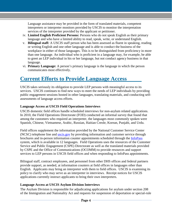Language assistance may be provided in the form of translated materials, competent interpreters or interpreter monitors provided by USCIS to monitor the interpretation services of the interpreter provided by the applicant or petitioner.

- iv. **Limited English Proficient Persons:** Persons who do not speak English as their primary language and who have a limited ability to read, speak, write, or understand English.
- v. **Bilingual staff***:* A USCIS staff person who has been assessed as fluent in speaking, reading or writing English and one other language and is able to conduct the business of the workplace in either of those languages. This is to be distinguished from proficiency in more than one language. An individual who is proficient in a language may, for example, be able to greet an LEP individual in his or her language, but not conduct agency business in that language.
- vi. **Primary Language:** A person's primary language is the language in which the person communicates most effectively.

# <span id="page-4-0"></span>**Current Efforts to Provide Language Access**

USCIS takes seriously its obligation to provide LEP persons with meaningful access to its services. USCIS continues to find new ways to meet the needs of LEP individuals by providing public engagement sessions hosted in other languages, translating materials, and conducting selfassessments of language access efforts.

#### **Language Access at USCIS Field Operations Interviews**

USCIS domestic field offices handle scheduled interviews for non-asylum related applications. In 2010, the Field Operations Directorate (FOD) conducted an informal survey that found that among the customers who required an interpreter, the languages most commonly spoken were Spanish, Chinese, Vietnamese, Arabic, Russian, Haitian Creole, Korean, Punjabi, and Urdu.

Field offices supplement the information provided by the National Customer Service Center (NCSC) telephone line and [uscis.gov](http://www.uscis.gov/) by providing information and customer service through brochures and in-person information counter appointments scheduled through the [InfoPass](https://infopass.uscis.gov/) system, which is available in 12 languages. Field Operations uses the resources of the Customer Service and Public Engagement (CSPE) Directorate as well as the translated materials provided by CSPE and the Office of Communications (OCOMM) to provide resources and support services to LEP persons in USCIS field offices and when responding to InfoPass appointments.

Bilingual staff, contract employees, and personnel from other DHS offices and federal partners provide support, as needed, at information counters at field offices in languages other than English. Applicants may bring an interpreter with them to field offices. USCIS is examining its policy to clarify who may serve as an interpreter in interviews. Receipt notices for USCIS applications currently instruct applicants to bring their own interpreters.

#### **Language Access at USCIS Asylum Division Interviews**

The Asylum Division is responsible for adjudicating applications for asylum under section 208 of the Immigration and Nationality Act and requests for suspension of deportation or special-rule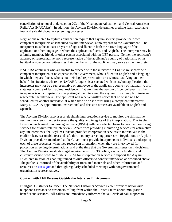cancellation of removal under section 203 of the Nicaraguan Adjustment and Central American Relief Act (NACARA). In addition, the Asylum Division determines credible fear, reasonable fear and safe third-country screening processes.

Regulations related to asylum adjudication require that asylum seekers provide their own competent interpreters at scheduled asylum interviews, at no expense to the Government. The interpreter must be at least 18 years of age and fluent in both the native language of the applicant, or other language in which the applicant is fluent, and English. The interpreter may be a family member, friend, or other person associated with the LEP person. Neither the applicant's attorney or representative, nor a representative of the applicant's country of nationality or last habitual residence, nor witness testifying on behalf of the applicant may serve as the interpreter.

NACARA applicants who are unable to proceed with the interview in English must provide a competent interpreter, at no expense to the Government, who is fluent in English and a language in which they are fluent, who is not their legal representative or a witness testifying on their behalf. In situations where the NACARA request is associated with an asylum application, the interpreter may not be a representative or employee of the applicant's country of nationality, or if stateless, country of last habitual residence. If at any time the asylum officer believes that the interpreter is not competently interpreting at the interview, the asylum officer may terminate and reschedule the interview. The applicant will receive written notice that he or she will be scheduled for another interview, at which time he or she must bring a competent interpreter. Many NACARA appointment, instructional and decision notices are available in English and Spanish.

The Asylum Division also uses a telephonic interpretation service to monitor the affirmative asylum interviews in order to ensure the quality and integrity of the interpretation. The Asylum Division has blanket purchase agreements (BPAs) with two selected firms to provide monitoring services for asylum-related interviews. Apart from providing monitoring services for affirmative asylum interviews, the Asylum Division provides interpretation services to individuals in the credible fear, reasonable fear and safe third-country screening processes. Regulations or Asylum Division procedures mandate that the Government provide interpreters to individuals undergoing each of these processes when they receive an orientation, when they are interviewed for protection screening determinations, and at the time that the Government issues their decisions. The Asylum Division evaluates legal requirements, USCIS policy, available funding, and customer service needs to establish BPAs for interpretation services to support the Asylum Division's mission of enabling trained asylum officers to conduct interviews as described above. The public is informed of the availability of translated materials and other information and resources on **uscis.gov** and through regularly scheduled meetings with nongovernmental organization representatives.

#### **Contact with LEP Persons Outside the Interview Environment**

**Bilingual Customer Service:** The National Customer Service Center provides nationwide telephone assistance to customers calling from within the United States about immigration benefits and services. All callers are immediately informed that all levels of call support are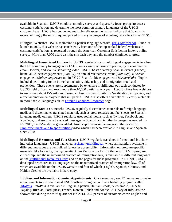available in Spanish. USCIS conducts monthly surveys and quarterly focus groups to assess customer satisfaction and determine the most common primary languages of the USCIS customer base. USCIS has conducted multiple self-assessments that indicate that Spanish is overwhelmingly the most frequently-cited primary language of non-English callers to the NCSC.

**Bilingual Website:** USCIS maintains a Spanish-language website, *uscis.gov/espanol.* Since its launch in 2009, this website has consistently been one of the top-ranked federal websites in customer satisfaction, as recorded through the American Customer Satisfaction Index's online survey. More than 7,000 users visit the site each day, and the number continues to grow.

**Multilingual Issue-Based Outreach:** USCIS regularly hosts multilingual engagements to allow the LEP community to engage with USCIS on a variety of issues in person, by teleconference, email, Twitter, and via live streaming video. USCIS hosts quarterly Spanish events (*Enlace*), biannual Chinese engagements (*Jiao liu*), an annual Vietnamese event (*Giao tiep*), a Korean engagement (*Sulmyounghwae*) and in FY 2015, an Arabic engagement (*Musharakah*). Topics included petitioning for an immediate relative, citizenship, and immigration fraud and prevention. These events are supplemented by extensive multilingual outreach conducted by USCIS field offices, and reach more than 10,000 participants a year. USCIS offers free webinars to employers about E-Verify and Form I-9, Employment Eligibility Verification, in Spanish, and a free webinar on employee rights in Spanish. USCIS also offers a variety of E-Verify materials in more than 20 languages on its [Foreign Language Resources](http://www.uscis.gov/e-verify/publications/foreign-language-resources) page.

**Multilingual Media Outreach:** USCIS regularly disseminates materials to foreign language media and disseminates translated material, such as press releases and fact sheets, to Spanishlanguage media outlets. USCIS regularly uses social media, such as Twitter, Facebook and YouTube, to disseminate translated messages in Spanish and in other languages as needed. In FY 2015, the E-Verify program added closed captions in six languages to the E-Verif[y:](http://www.uscis.gov/e-verify/publications/foreign-language-resources)  [Employee Rights and Responsibilities](http://www.uscis.gov/e-verify/publications/foreign-language-resources) video which had been available in English and Spanish since 2010.

**Multilingual Resources and Fact Sheets:** USCIS regularly translates informational brochures into other languages. USCIS launched [uscis.gov/multilingual,](http://www.uscis.gov/multilingual) where all materials available in different languages are centralized for easier accessibility. Information on program-specific materials, like E-Verify, the Systematic Alien Verification for Entitlements (SAVE) program, citizenship, and the unauthorized practice of immigration law, is available in different languages on the [Multilingual Resources](http://www.uscis.gov/tools/multilingual-resource-center) Page and on the pages for those programs. In FY 2011, USCIS developed brochures in 14 languages on the unauthorized practice of immigration law, all of which are available on the USCIS website and four of which (English, Spanish, Chinese, and Haitian Creole) are available in hard copy.

**InfoPass and Information Counter Appointments:** Customers may use 12 languages to make appointments to visit their local USCIS office through an online scheduling program called [InfoPass.](http://infopass.uscis.gov/) InfoPass is available in English, Spanish, Haitian Creole, Vietnamese, Chinese, Tagalog, Russian, Portuguese, French, Korean, Polish and Arabic. A survey of InfoPass use showed that during the third quarter of FY 2014, 76.2 percent of customers chose English and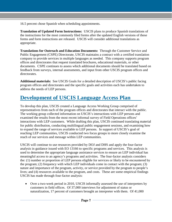16.5 percent chose Spanish when scheduling appointments.

**Translation of Updated Form Instructions:** USCIS plans to produce Spanish translations of the instructions for the most commonly filed forms after the updated English versions of these forms and form instructions are released. USCIS will consider additional translations as appropriate.

**Translations for Outreach and Education Documents:** Through the Customer Service and Public Engagement (CSPE) Directorate, USCIS maintains a contract with a certified translation company to provide services in multiple languages as needed. This company supports program offices and directorates that request translated brochures, educational materials, or other documents. CSPE continues to assess which additional documents should be translated based on feedback from surveys, internal assessments, and input from other USCIS program offices and directorates.

**Additional materials:** See USCIS Goals for a detailed description of USCIS's public facing program offices and directorates and the specific goals and activities each has undertaken to address the needs of LEP persons.

# <span id="page-7-0"></span>**Development of USCIS Language Access Plan**

To develop this plan, USCIS created a Language Access Working Group comprised of representatives from each of the program offices and directorates that interact with the public. The working group collected information on USCIS's interactions with LEP persons and examined the results from the most recent informal survey of Field Operations offices' interactions with LEP customers. While drafting this plan, USCIS continued translating material for public distribution, conducting multilingual public engagement sessions, and examining how to expand the range of services available to LEP persons. In support of USCIS's goal of reaching LEP communities, USCIS conducted two focus groups to more closely examine the reach of our services and message within LEP communities.

USCIS will continue to use resources provided by DOJ and DHS and apply the four-factor analysis in guidance issued with [EO 13166](http://www.gpo.gov/fdsys/pkg/FR-2000-08-16/pdf/00-20938.pdf) to specific programs and services. This analysis is used to determine the appropriate language assistance services to ensure an LEP individual has meaningful access to an agency's programs and activities. The four-factor analysis considers the: (1) number or proportion of LEP persons eligible for services or likely to be encountered by the program; (2) frequency with which LEP individuals come in contact with the program; (3) nature and importance of the program, activity, or service provided by the program to people's lives; and (4) resources available to the program, and costs. These are some empirical findings USCIS has made through four-factor analysis:

• Over a two-week period in 2010, USCIS informally assessed the use of interpreters by customers in field offices. Of 37,000 interviews for adjustment of status or naturalization, 17 percent of customers brought an interpreter with them. Of 41,000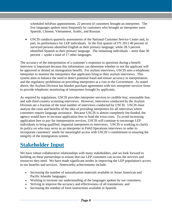scheduled InfoPass appointments, 22 percent of customers brought an interpreter. The five languages spoken most frequently by customers who brought an interpreter were Spanish, Chinese, Vietnamese, Arabic, and Russian.

• USCIS conducts quarterly assessments of the National Customer Service Center and, in part, its performance for LEP individuals. In the first quarter of FY 2013 40 percent of surveyed persons identified English as their primary language, while 28.3 percent identified Spanish as their primary language. The remaining individuals – more than 30 percent -- spoke a total of 17 other languages.

The accuracy of the interpretation of a customer's responses to questions during a benefit interview is important because this information can determine whether or not the applicant will be approved or denied an immigration benefit. For asylum interviews, USCIS uses a telephonic interpreter to monitor the interpreters that applicants bring to their asylum interviews. This system aims to balance the need to detect potential fraud and ensure accuracy in interpretation, and the regulatory prohibition on providing interpreters at a cost to the Government. As stated above, the Asylum Division has blanket purchase agreements with two interpreter services firms to provide telephonic monitoring of interpreters brought by applicants.

As required by regulations, USCIS provides interpreter services in credible fear, reasonable fear, and safe third-country screening interviews. However, interviews conducted by the Asylum Division are a fraction of the total number of interviews conducted by USCIS. USCIS must analyze the costs and benefits of the idea of providing interpreters for all interviews where customers require language assistance. Because USCIS is almost completely fee-funded, the agency would have to increase application fees to fund the extra costs. To avoid increasing application fees to pay for interpretation services, USCIS will continue to encourage LEP individuals to bring qualified, impartial interpreters to interviews. USCIS is working to clarify its policy on who may serve as an interpreter in Field Operations interviews in order to incorporate customers' needs for meaningful access with USCIS's commitment to ensuring the integrity of the immigration system.

### <span id="page-8-0"></span>**Stakeholder Input**

We have robust collaborative relationships with many stakeholders, and we look forward to building on these partnerships to ensure that our LEP customers can access the services and resources they need. We have made significant strides in improving the LEP population's access to our benefits and services. Noteworthy achievements include:

- Increasing the number of naturalization materials available in Asian American and Pacific Islander languages;
- Working to increase our understanding of the languages spoken by our customers;
- Striving to improve the accuracy and effectiveness of all translations; and
- Increasing the number of form instructions available in Spanish.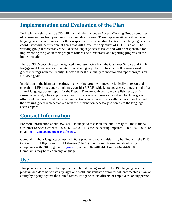# **Implementation and Evaluation of the Plan**

To implement this plan, USCIS will maintain the Language Access Working Group comprised of representatives from program offices and directorates. These representatives will serve as language access coordinators for their respective offices and directorates. Each language access coordinator will identify annual goals that will further the objectives of USCIS's plan. The working group representatives will discuss language access issues and will be responsible for implementing the plan in their program offices and directorates and reporting progress on the implementation.

The USCIS Deputy Director designated a representative from the Customer Service and Public Engagement Directorate as the interim working group chair. The chair will convene working group meetings with the Deputy Director at least biannually to monitor and report progress on USCIS's goals.

In addition to the biannual meetings, the working group will meet periodically to report and consult on LEP issues and complaints, consider USCIS-wide language access issues, and draft an annual language access report for the Deputy Director with goals, accomplishments, selfassessments, and, when appropriate, results of surveys and research studies. Each program office and directorate that leads communications and engagements with the public will provide the working group representatives with the information necessary to complete the language access report.

# <span id="page-9-0"></span>**Contact Information**

For more information about USCIS's Language Access Plan, the public may call the National Customer Service Center at 1-800-375-5283 (TDD for the hearing impaired: 1-800-767-1833) or email [public.engagement@uscis.dhs.gov.](mailto:public.engagement@uscis.dhs.gov)

Complaints about language access in USCIS programs and activities may be filed with the DHS Office for Civil Rights and Civil Liberties (CRCL). For more information about filing complaints with CRCL, go to [dhs.gov/crcl,](http://www.dhs.gov/crcl) or call 202- 401-1474 or 1-866-644-8360. Complaints may be filed in any language.

### **Use**

This plan is intended only to improve the internal management of USCIS's language access program and does not create any right or benefit, substantive or procedural, enforceable at law or equity by a party against the United States, its agencies, its officers or employees, or any person.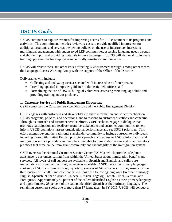# <span id="page-10-0"></span>**USCIS Goals**

USCIS continues to explore avenues for improving access for LEP customers to its programs and activities. This commitment includes reviewing costs to provide qualified interpreters for additional programs and services, reviewing policies on the use of interpreters, increasing multilingual engagement with underserved LEP communities, assessing language needs through stakeholder input, and providing materials in more languages. USCIS will also work to increase training opportunities for employees in culturally sensitive communication.

USCIS will review these and other issues affecting LEP customers through, among other means, the Language Access Working Group with the support of the Office of the Director.

Deliverables will include:

- Collecting and analyzing costs associated with increased use of interpreters;
- Providing updated interpreter guidance to domestic field offices; and
- Formalizing the use of USCIS bilingual volunteers, assessing their language skills and providing training and/or guidance.

#### **1. Customer Service and Public Engagement Directorate**

CSPE comprises the Customer Service Division and the Public Engagement Division.

CSPE engages with customers and stakeholders to share information and solicit feedback on USCIS programs, policies, and operations, and to respond to customer questions and concerns. Through its outreach and customer service efforts, CSPE seeks to engage in dialogue that promotes participation and feedback from the stakeholder and customer communities to help inform USCIS operations, assess organizational performance and set USCIS priorities. This effort extends beyond the traditional stakeholder community to include outreach to individuals including those with limited English proficiency—who lack access to USCIS information and immigration service providers and may be vulnerable to immigration scams and other predatory practices that threaten the immigrant community and the integrity of the immigration system.

CSPE oversees the National Customer Service Center (NCSC), which provides telephone assistance to customers calling from within the United States about immigration benefits and services. All levels of call support are available in Spanish and English, and callers are immediately informed of the bilingual services available. CSPE tracks the primary languages spoken by USCIS customers through quarterly surveys of NCSC callers. Survey results for the third quarter of FY 2013 indicate that callers spoke the following languages (in order of usage): English, Spanish, "Other," Arabic, Chinese, Russian, Tagalog, French, Hindi, German, and Portuguese. Approximately 40 percent of the callers identified English as their primary language and approximately 28 percent of the callers identified Spanish as their primary language. The remaining customers spoke one of more than 17 languages. In FY 2015, USCIS will conduct a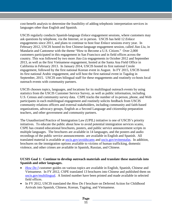cost-benefit analysis to determine the feasibility of adding telephonic interpretation services in languages other than English and Spanish.

USCIS regularly conducts Spanish-language *Enlace* engagement sessions, where customers may ask questions by telephone, via the Internet, or in person. USCIS has held 12 *Enlace* engagements since 2011, and plans to continue to host four *Enlace* sessions every year. In February 2012, USCIS hosted its first Chinese-language engagement session, called *Jiao Liu*, in Mandarin and Cantonese with the theme "How to Become a U.S. Citizen." Over 2,000 customers participated in this engagement in San Francisco and in field offices across the country. This was followed by two more *Jiao Liu* engagements in October 2012 and September 2013, as well as the first Vietnamese engagement, hosted at the Santa Ana Field Office in California in February 2013. In January 2014, USCIS hosted its first national Creole engagement, followed by the first national Korean event in August. In FY 2015, USCIS hosted its first national Arabic engagement, and will host the first national event in Tagalog in September, 2015. USCIS uses bilingual staff for these engagements and routinely co-hosts local outreach events with community partners.

USCIS chooses topics, languages, and locations for its multilingual outreach events by using statistics from the USCIS Customer Service Survey, as well as public information, including U.S. Census and community survey data. CSPE tracks the number of in-person, phone, and Web participants in each multilingual engagement and routinely solicits feedback from USCIS community relations officers and external stakeholders, including community and faith-based organizations, advocacy groups, English as a Second Language and citizenship preparation teachers, and other government and community partners.

The Unauthorized Practice of Immigration Law (UPIL) initiative is one of USCIS's priority initiatives. To educate the public about how to avoid potential immigration services scams, CSPE has created educational brochures, posters, and public service announcement scripts in multiple languages. The brochures are available in 14 languages, and the posters and audio recordings of the public service announcements are available in English and Spanish. All translated material is available at [uscis.gov/avoidscams](http://uscis.gov/avoidscams) and [uscis.gov/eviteestafas.](http://www.uscis.gov/eviteestafas) In addition, brochures on the immigration options available to victims of human trafficking, domestic violence, and other crimes are available in Spanish, Russian, and Chinese.

#### **UCSIS Goal 1: Continue to develop outreach materials and translate these materials into Spanish and other languages.**

- *[How Do I](http://www.uscis.gov/tools/how-do-i-customer-guides)* customer guides on various topics are available in English, Spanish, Chinese and Vietnamese. In FY 2012, CSPE translated 13 brochures into Chinese and published them on [uscis.gov/multilingual.](http://www.uscis.gov/multilingual) A limited number have been printed and made available in selected field offices.
- In FY 2012, USCIS translated the *How Do I* brochure on Deferred Action for Childhood Arrivals into Spanish, Chinese, Korean, Tagalog, and Vietnamese.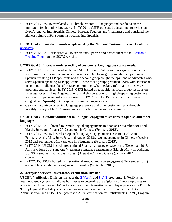• In FY 2013, USCIS translated UPIL brochures into 14 languages and handouts on the immigrant fee into nine languages. In FY 2014, CSPE translated educational materials on DACA renewal into Spanish, Chinese, Korean, Tagalog, and Vietnamese and translated the highest volume USCIS form instructions into Spanish.

#### **USCIS Goal 2: Post the Spanish scripts used by the National Customer Service Center to [uscis.gov.](http://www.uscis.gov/)**

• In FY 2012, CSPE translated all 15 scripts into Spanish and posted them to the [Electronic](http://www.uscis.gov/about-us/electronic-reading-room) [Reading Room](http://www.uscis.gov/about-us/electronic-reading-room) on the USCIS website.

#### **UCSIS Goal 3: Increase understanding of customers' language assistance needs.**

- In FY 2012, CSPE partnered with the USCIS Office of Policy and Strategy to conduct two focus groups to discuss language access issues. One focus group sought the opinions of Spanish-speaking LEP applicants and the second group sought the opinions of advocates who serve Spanish-speaking LEP applicants. These focus groups provided CSPE with additional insight into challenges faced by LEP communities when seeking information on USCIS programs and services. In FY 2013, CSPE hosted three additional focus group sessions on language access in Los Angeles: one for stakeholders, one for English-speaking customers and one for Spanish-speaking customers. In FY 2014, USCIS hosted two focus groups (English and Spanish) in Chicago to discuss language access.
- CSPE will continue assessing language preference and other customer needs through monthly surveys of NCSC customers and quarterly in person focus groups.

#### **USCIS Goal 4: Conduct additional multilingual engagement sessions in Spanish and other languages.**

- In FY 2012, CSPE hosted four multilingual engagements in Spanish (November 2011 and March, June, and August 2012) and one in Chinese (February 2012).
- In FY 2013, USCIS hosted six Spanish language engagements (December 2012 and February, April, May, June, July, and August 2013); two engagements in Chinese (October 2012 and September 2013) and one in Vietnamese (February 2013).
- In FY 2014, USCIS hosted three national Spanish language engagements (December 2013, April and June 2014) and one Vietnamese language engagement (March 2014). In addition, USCIS hosted its first national Korean (August 2014) and Creole (January 2014) engagements.
- In FY2015, USCIS hosted its first national Arabic language engagement (November 2014) and will host a national engagement in Tagalog (September 2015).

#### **2. Enterprise Services Directorate, Verification Division**

USCIS's Verification Division manages the [E-Verify](http://www.uscis.gov/e-verify) and [SAVE](http://www.uscis.gov/save) programs. E-Verify is an Internet-based system that allows businesses to determine the eligibility of new employees to work in the United States. E-Verify compares the information an employee provides on Form I-9, Employment Eligibility Verification, against government records from the Social Security Administration and DHS. The Systematic Alien Verification for Entitlements (SAVE) Program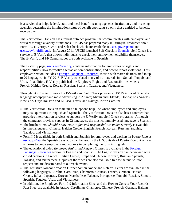is a service that helps federal, state and local benefit-issuing agencies, institutions, and licensing agencies determine the immigration status of benefit applicants so only those entitled to benefits receive them.

The Verification Division has a robust outreach program that communicates with employers and workers through a variety of methods. USCIS has prepared many multilingual resources about Form I-9, E-Verify, SAVE, and Self Check which are available at [uscis.gov/espanol](http://uscis.gov/espanol) and [uscis.gov/multilingual.](http://www.uscis.gov/multilingual) In August 2011, USCIS launched Self Check in [Spanish.](http://www.uscis.gov/portal/site/uscis-es/menuitem.e693c9cf3c2f7d18d52fae1074a191a0/?vgnextoid=3ad29bacc22e0310VgnVCM100000082ca60aRCRD&vgnextchannel=3ad29bacc22e0310VgnVCM100000082ca60aRCRD) Self Check is a service of E-Verify that allows individuals to check their employment eligibility themselves. The E-Verify and I-9 Central pages are both available in Spanish.

The E-Verify page, *uscis.gov/e-verify*, contains information for employees on rights and responsibilities, how to resolve a tentative non-confirmation, and how to report violations. This employee section includes a [Foreign Language Resources](http://www.uscis.gov/e-verify/publications/foreign-language-resources) section with materials translated in up to 20 languages. In FY 2015, E-Verify translated many of its materials into Somali, Punjabi, and Urdu. In addition, E-Verify published the Employee Rights and Responsibilities videos in French, Haitian Creole, Korean, Russian, Spanish, Tagalog, and Vietnamese.

Throughout 2014, to promote the E-Verify and Self Check programs, USCIS initiated Spanishlanguage newspaper and radio advertising in Atlanta; Miami and Orlando, Florida; Los Angeles; New York City; Houston and El Paso, Texas; and Raleigh, North Carolina.

- The Verification Division maintains a telephone help line where employees and employers may ask questions in English and Spanish. The Verification Division also has a contract that provides interpretation services to support the E-Verify and Self Check programs. Although the contractor provides support in 22 languages, the most commonly used language is Spanish.
- The brochure *You Should Know Your Rights and Responsibilities under E-Verify* is available in nine languages: Chinese, Haitian Creole, English, French, Korean, Russian, Spanish, Tagalog, and Vietnamese.
- Form I-9 is available in both English and Spanish for employees and workers in Puerto Rico at [uscis.gov/i-9;](http://www.uscis.gov/i-9) the Spanish translation can be used in the U.S. outside of Puerto Rico but only as a means to guide employers and workers in completing the form in English.
- The educational video *Employee Rights and Responsibilities* is available in the [Foreign](http://www.uscis.gov/portal/site/uscis/menuitem.eb1d4c2a3e5b9ac89243c6a7543f6d1a/?vgnextoid=ded3d2aea352a210VgnVCM100000082ca60aRCRD&vgnextchannel=ded3d2aea352a210VgnVCM100000082ca60aRCRD)  [Language Resources](http://www.uscis.gov/portal/site/uscis/menuitem.eb1d4c2a3e5b9ac89243c6a7543f6d1a/?vgnextoid=ded3d2aea352a210VgnVCM100000082ca60aRCRD&vgnextchannel=ded3d2aea352a210VgnVCM100000082ca60aRCRD) section in English and Spanish. The English version can be viewed with closed captions in French, Haitian Creole, Simplified Chinese, Korean, Russian, Spanish, Tagalog, and Vietnamese. Copies of the videos are also available free to the public upon request and are disseminated at outreach events.
- The Tentative Nonconfirmation Further Action Notice and Referral Letter are available in the following languages: Arabic, Carolinian, Chamorro, Chinese, French, German, Haitian Creole, Italian, Japanese, Korean, Marshallese, Palauan, Portuguese, Punjabi, Russian, Somali, Spanish, Tagalog, Urdu, and Vietnamese.
- In addition, the Employee Form I-9 Information Sheet and the How to Correct Your Records Fact Sheet are available in Arabic, Carolinian, Chamorro, Chinese, French, German, Haitian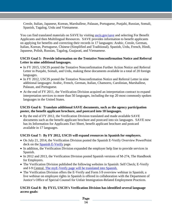Creole, Italian, Japanese, Korean, Marshallese, Palauan, Portuguese, Punjabi, Russian, Somali, Spanish, Tagalog, Urdu and Vietnamese.

You can find translated materials on SAVE by visiting *uscis.gov/save* and selecting For Benefit Applicants and then Multilingual Resources. SAVE provides information to benefit applicants on applying for benefits and correcting their records in 17 languages: Arabic, Creole, German, Italian, Korean, Portuguese, Chinese (Simplified and Traditional), Spanish, Urdu, French, Hindi, Japanese, Polish, Russian, Tagalog, Guajarati, and Vietnamese.

#### **USCIS Goal 5: Provide information on the Tentative Nonconfirmation Notice and Referral Letter in nine additional languages.**

- In FY 2015, USCIS posted the Tentative Nonconfirmation Further Action Notice and Referral Letter in Punjabi, Somali, and Urdu, making these documents available in a total of 20 foreign languages.
- In FY 2012, USCIS posted the Tentative Nonconfirmation Notice and Referral Letter in nine additional languages: Arabic, French, German, Italian, Chamorro, Carolinian, Marshallese, Palauan, and Portuguese.
- At the end of FY 2011, the Verification Division acquired an interpretation contract to expand interpretation services to more than 50 languages, including the top 20 most commonly spoken languages in the United States.

#### **USCIS Goal 6: Translate additional SAVE documents, such as the agency participation poster, the benefit applicant brochure, and postcard into 18 languages.**

• By the end of FY 2012, the Verification Division translated and made available SAVE documents such as the benefit applicant brochure and postcard into six languages. SAVE now has its Information for Applicants Fact Sheet, benefit applicant brochure and postcard available in 17 languages.

#### **USCIS Goal 7: By FY 2012, USCIS will expand resources in Spanish for employers.**

- On July 21, 2014, the Verification Division posted the Spanish E-Verify Overview PowerPoint deck on the [Spanish E-Verify](http://www.uscis.gov/es/e-verify) page.
- In addition, the Verification Division expanded the employer help line to provide services in Spanish.
- In 2012 and 2013, the Verification Division posted Spanish versions of M-274, The Handbook for Employers.
- The Verification Division published the following websites in Spanish: Self Check; E-Verify and I-9 Central. The myE-Verify page will be translated into Spanish.
- The Verification Division offers the E-Verify and Form I-9 overview webinar in Spanish; a live webinar on employee rights in Spanish is offered in collaboration with the Department of Justice's Office of Special Counsel for Unfair Immigration-Related Employment Practices.

#### **USCIS Goal 8: By FY15, USCIS's Verification Division has identified several language access goals:**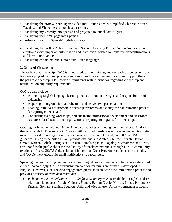- Translating the "Know Your Rights" video into Haitian Creole, Simplified Chinese, Korean, Tagalog, and Vietnamese using closed captions.
- Translating myE-Verify into Spanish and projected to launch late August 2015.
- Translating the SAVE page into Spanish.
- Posting an E-Verify Spanish/English glossary.
- Translating the Further Action Notice into Somali. E-Verify Further Action Notices provide employees with important information and instructions related to Tentative Nonconfirmations and how to resolve them.
- Translating certain materials into South Asian languages.

#### **3. Office of Citizenship**

The Office of Citizenship (OoC) is a public education, training, and outreach office responsible for developing educational products and resources to welcome immigrants and support them on the path to citizenship. OoC provide immigrants with information regarding citizenship and naturalization eligibility requirements.

OoC's goals include:

- Promoting English language learning and education on the rights and responsibilities of citizenship;
- Preparing immigrants for naturalization and active civic participation;
- Leading initiatives to promote citizenship awareness and clarify the naturalization process for aspiring citizens; and
- Conducting training workshops, and enhancing professional development and classroom resources for educators and organizations preparing immigrants for citizenship.

OoC regularly works with ethnic media and collaborates with nongovernmental organizations that work with LEP persons. OoC works with certified translation services as needed, translating materials based on immigration flow, demonstrated community need, and DHS or USCIS guidance. Using these criteria, OoC provides materials in Arabic, Chinese, French, Haitian Creole, Korean, Polish, Portuguese, Russian, Somali, Spanish, Tagalog, Vietnamese, and Urdu. OoC notifies the public about the availability of translated materials through USCIS community relations officers, USCIS Citizenship and Integration Grant Program recipients, social media, and GovDelivery electronic email notifications to subscribers.

Speaking, reading, writing, and understanding English are requirements to become a naturalized citizen. Accordingly, OoC's citizenship preparation materials are primarily developed in English. However, OoC seeks to engage immigrants at all stages of the immigration process and provides a variety of translated materials:

• *Welcome to the United States: A Guide for New Immigrants* is available in English and 13 additional languages: Arabic, Chinese, French, Haitian Creole, Korean, Polish, Portuguese, Russian, Somali, Spanish, Tagalog, Urdu, and Vietnamese. All new permanent residents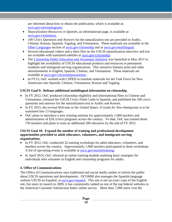are informed about how to obtain the publication, which is available at: [uscis.gov/newimmigrants.](http://www.uscis.gov/newimmigrants)

- *Naturalization Resources in Spanish*, an informational page, is available at [uscis.gov/ciudadania.](http://www.uscis.gov/ciudadania)
- *100 Civics Questions and Answers* for the naturalization test are provided in Arabic, Chinese, Korean, Spanish, Tagalog, and Vietnamese. These materials are available in the Other Languages section of [uscis.gov/citizenship](http://www.uscis.gov/citizenship) and at [uscis.gov/multilingual.](http://www.uscis.gov/multilingual)
- Several educational videos and a short film on the USCIS naturalization interview and test are available with translated subtitles at [uscis.gov/citizenship.](http://www.uscis.gov/citizenship)
- The [Citizenship Public Education and Awareness Initiative](http://www.uscis.gov/citizenshipawareness) was launched in May 2011 to highlight the availability of USCIS educational products and resources to permanent residents and immigrant-serving organizations. This initiative features print and radio advertisements in English, Spanish, Chinese, and Vietnamese. These materials are available at [uscis.gov/citizenshipawareness.](http://www.uscis.gov/citizenshipawareness)
- In FY15, OoC worked with CSPED to translate materials for the Task Force for New Americans into Spanish, Chinese, Vietnamese, Korean and Tagalog.

#### **USCIS Goal 9: Release additional multilingual information on citizenship.**

- In FY 2012, OoC produced citizenship eligibility and informational fliers in Chinese and Vietnamese, released the USCIS Civics Flash Cards in Spanish, and published the 100 civics questions and answers for the naturalization test in Arabic and Korean.
- In FY 2015, the revised *Welcome to the United States: A Guide for New Immigrants* is to be translated into 13 languages.
- OoC plans to introduce a new training seminar for approximately 1,000 teachers and administrators of ESL/civics programs across the country. To date, OoC has trained about 750 teachers and plans to train an additional 200 educators by the end of FY 2015.

#### **USCIS Goal 10: Expand the number of training and professional development opportunities provided to adult educators, volunteers, and immigrant-serving organizations.**

- In FY 2012, OoC conducted 32 training workshops for adult educators, volunteers, and teachers across the country. Approximately 1,960 teachers participated in these workshops. A list of upcoming events is available at [uscis.gov/teachertraining.](http://www.uscis.gov/teachertraining)
- In April 2014, OoC released an online training module outlining basic strategies for individuals who volunteer in English and citizenship programs for adults.

#### **4. Office of Communications**

The Office of Communications uses traditional and social media outlets to inform the public about USCIS operations and developments. OCOMM also manages the Spanish-language website USCIS en Español, at [uscis.gov/espanol.](http://www.uscis.gov/espanol) This site is not an exact copy of the English site, but since its launch in 2009, it has consistently ranked as one of the top federal websites in the American Customer Satisfaction Index online survey. More than 7,000 users visit the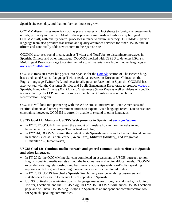Spanish site each day, and that number continues to grow.

OCOMM disseminates materials such as press releases and fact sheets to foreign-language media outlets, primarily in Spanish. Most of these products are translated in-house by bilingual OCOMM staff, with quality control processes in place to ensure accuracy. OCOMM's Spanish language team also provides translation and quality assurance services for other USCIS and DHS offices and continually adds new content to the Spanish site.

OCOMM also uses social media, such as Twitter and YouTube, to disseminate messages in Spanish, Chinese and other languages. OCOMM worked with CSPED to develop USCIS's Multilingual Resources Page to centralize links to all materials available in other languages at [uscis.gov/multilingual.](http://www.uscis.gov/multilingual)

OCOMM translates most blog posts into Spanish for the [Compás](http://blog.uscis.gov/search/label/Comp%C3%A1s) section of The Beacon blog, has a dedicated Spanish-language Twitter feed, has tweeted in Korean and Chinese on the English-language Twitter feed, and occasionally posts to Facebook in Spanish. OCOMM has also worked with the Customer Service and Public Engagement Directorate to produce [videos](http://www.uscis.gov/outreach/public-engagement-videos) in Spanish, Mandarin Chinese (*Jiao Liu*) and Vietnamese (*Giao Tiep*) as well as videos on specific issues affecting the LEP community such as the Haitian Creole video on the Haitian Reunification Program.

OCOMM will look into partnering with the White House Initiative on Asian Americans and Pacific Islanders and other government entities to expand Asian language reach. Due to resource constraints, however, OCOMM is currently unable to expand to other languages.

#### **USCIS Goal 11: Maintain USCIS's Web presence in Spanish at [uscis.gov/espanol.](http://www.uscis.gov/espanol)**

- In FY 2012, OCOMM increased the amount of translated content on the website and launched a Spanish-language Twitter feed and blog.
- In FY2014, OCOMM revised the content on its Spanish website and added additional content in sections such as Tarjeta Verde (Green Card), Militares (Military), and Programas Humanitarios (Humanitarian).

#### **USCIS Goal 12: Continue media outreach and general communications efforts in Spanish and other languages.**

- In FY 2012, the OCOMM media team completed an assessment of USCIS outreach to non-English speaking media outlets at both the headquarters and regional/local levels. OCOMM expanded existing relationships and built new relationships with non-English speaking reporters with the goal of reaching more audiences across the United States.
- In FY 2013, USCIS launched a Spanish GovDelivery service, enabling customers and stakeholders to sign up to receive USCIS updates in Spanish.
- USCIS routinely disseminates Spanish language messages through social media, including Twitter, Facebook, and the USCIS blog. In FY2015, OCOMM will launch USCIS Facebook page and will have USCIS blog *Compás* in Spanish as an independent communication tool for Spanish-speaking communities.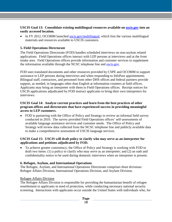**USCIS Goal 13: Consolidate existing multilingual resources available on [uscis.gov](http://uscis.gov/) into an easily accessed location.**

• In FY 2012, OCOMM launched [uscis.gov/multilingual,](http://www.uscis.gov/multilingual) which lists the various multilingual materials and resources available to USCIS customers.

#### **5. Field Operations Directorate**

The Field Operations Directorate (FOD) handles scheduled interviews on non-asylum related applications. Field Operations offices interact with LEP persons at interviews and at the front intake area. Field Operations offices provide information and customer services to supplement the information available through the NCSC telephone line and [uscis.gov.](http://www.uscis.gov/)

FOD uses translated documents and other resources provided by CSPE and OCOMM to support assistance to LEP persons during interviews and when responding to InfoPass appointments. Bilingual staff, contractors, and personnel from other DHS offices and federal partners provide support, as needed, in languages other than English at information counters at field offices. Applicants may bring an interpreter with them to Field Operations offices. Receipt notices for USCIS applications adjudicated by FOD instruct applicants to bring their own interpreters for interviews.

#### **USCIS Goal 14: Analyze current practices and learn from the best practices of other program offices and directorates that have experienced success in providing meaningful access to LEP customers.**

• FOD is partnering with the Office of Policy and Strategy to review an informal field survey conducted in 2010. The survey provided Field Operations offices' self-assessments of available language assistance services and customer needs. The Office of Policy and Strategy will review data collected from the NCSC telephone line and publicly available data to make a comprehensive assessment of USCIS language services.

#### **USCIS Goal 15: USCIS will draft policy to clarify who may serve as an interpreter for applications and petitions adjudicated by FOD.**

• To achieve greater consistency, the Office of Policy and Strategy is working with FOD to draft two items: (1) a policy to clarify who may serve as an interpreter; and (2) an oath and confidentiality notice to be used during domestic interviews when an interpreter is present.

#### **6. Refugee, Asylum, and International Operations**

The Refugee, Asylum, and International Operations Directorate comprises three divisions: Refugee Affairs Division, International Operations Division, and Asylum Division.

#### Refugee Affairs Division

The Refugee Affairs Division is responsible for providing the humanitarian benefit of refugee resettlement to applicants in need of protection, while conducting necessary national security screening. Interactions with applicants occur outside the United States with individuals who, for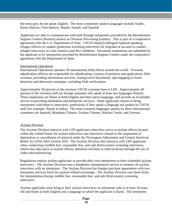the most part, do not speak English. The more commonly spoken languages include Arabic, Karen dialects, Chin dialects, Nepali, Somali, and Spanish.

Applicants are able to communicate with staff through interpreters provided by the Resettlement Support Centers (formerly known as Overseas Processing Entities). This is part of a cooperative agreement with the U.S. Department of State. USCIS employs bilingual Spanish-speaking refugee officers to conduct protection screening interviews for migrants at sea and to conduct refugee interviews in Latin America and the Caribbean. Document translations are submitted by the applicant or by interpreters provided by Resettlement Support Centers under the cooperative agreement with the Department of State.

#### International Operations

International Operations operates 28 international field offices around the world. Overseas adjudication officers are responsible for adjudicating a variety of petitions and applications filed overseas, providing information services, issuing travel documents, and engaging in fraud detection and deterrence strategies, including field verifications.

Approximately 50 percent of the overseas USCIS customer base is LEP. Approximately 40 percent of the overseas staff are foreign nationals who speak at least two languages fluently. These employees are fluent in both English and their native language, and provide an invaluable service in providing translation and interpreter services. Some applicants choose to bring interpreters with them to interviews, particularly if they speak a language not spoken by USCIS staff (for example, Nepali in India). The most common languages spoken by these international customers are Spanish, Mandarin Chinese, Fuzhou Chinese, Haitian Creole, and German.

#### Asylum Division

The Asylum Division interacts with LEP applicants when they arrive at asylum offices located within the United States for asylum interviews and interviews related to the suspension of deportation or cancellation of removal under the Nicaraguan Adjustment and Central American Relief Act (NACARA section 203). The Asylum Division also interacts with LEP applicants when conducting credible fear, reasonable fear, and safe third-country screening interviews, which may take place at asylum offices, detention facilities or both locations through the use of video teleconferencing.

Regulations require asylum applicants to provide their own interpreters at their scheduled asylum interviews. The Asylum Division uses a telephonic interpretation service to monitor all asylum interviews with an interpreter. The Asylum Division has blanket purchase agreements with two interpreter services firms for asylum-related screenings. The Asylum Division uses these firms for interpretation during credible fear, reasonable fear, and safe third-country screening interviews.

Asylum applicants must bring to their asylum interviews an interpreter who is at least 18 years old and fluent in both English and a language in which the applicant is fluent. The interpreter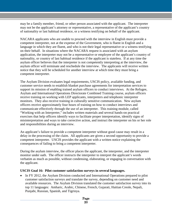may be a family member, friend, or other person associated with the applicant. The interpreter may not be the applicant's attorney or representative, a representative of the applicant's country of nationality or last habitual residence, or a witness testifying on behalf of the applicant.

NACARA applicants who are unable to proceed with the interview in English must provide a competent interpreter, not at the expense of the Government, who is fluent in English and a language in which they are fluent, and who is not their legal representative or a witness testifying on their behalf. In situations where the NACARA request is associated with an asylum application, the interpreter may not be a representative or employee of the applicant's country of nationality, or country of last habitual residence if the applicant is stateless. If at any time the asylum officer believes that the interpreter is not competently interpreting at the interview, the asylum officer will terminate and reschedule the interview. The applicants will receive written notice that they will be scheduled for another interview at which time they must bring a competent interpreter.

The Asylum Division evaluates legal requirements, USCIS policy, available funding, and customer service needs to establish blanket purchase agreements for interpretation services to support its mission of enabling trained asylum officers to conduct interviews. At the Refugee, Asylum and International Operations Directorate Combined Training course, asylum officers receive training on working with LEP applicants, interpreters and telephonic interpreter monitors. They also receive training in culturally sensitive communication. New asylum officers receive approximately four hours of training on how to conduct interviews and communicate effectively through the use of an interpreter. This training module, called "Working with an Interpreter," includes written materials and several hands-on practical exercises that help officers identify ways to facilitate proper interpretation, identify signs of misinterpretation and ways to take corrective action, and instruct the interpreter on his or her role and responsibilities during an interview.

An applicant's failure to provide a competent interpreter without good cause may result in a delay in the processing of the claim. All applicants are given a second opportunity to provide a competent interpreter. USCIS provides the applicant with a written notice explaining the consequences of failing to bring a competent interpreter.

During the asylum interview, the officer places the applicant, the interpreter, and the interpreter monitor under oath. The officer instructs the interpreter to interpret the applicant's words verbatim as much as possible, without condensing, elaborating, or engaging in conversation with the applicant.

#### **USCIS Goal 16: Pilot customer satisfaction surveys in several languages.**

• In FY 2012, the Asylum Division conducted and International Operations prepared to pilot customer satisfaction surveys and translate the survey, depending on customer need and available resources. The Asylum Division translated the customer satisfaction survey into its top 11 languages: Amharic, Arabic, Chinese, French, Gujarati, Haitian Creole, Nepali, Punjabi, Russian, Spanish, and Tigrinya.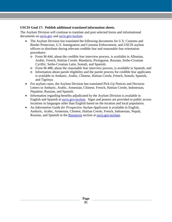#### **USCIS Goal 17: Publish additional translated information sheets.**

The Asylum Division will continue to translate and post selected forms and informational documents on [uscis.gov](http://www.uscis.gov/) and [uscis.gov/asylum.](http://www.uscis.gov/asylum)

- The Asylum Division has translated the following documents for U.S. Customs and Border Protection, U.S. Immigration and Customs Enforcement, and USCIS asylum officers to distribute during relevant credible fear and reasonable fear orientation procedures:
	- o Form M-444, about the credible fear interview process, is available in Albanian, Arabic, French, Haitian Creole, Mandarin, Portuguese, Russian, Serbo-Croatian Cyrillic, Serbo-Croatian Latin, Somali, and Spanish;
	- o Form M-488, about the reasonable fear interview process, is available in Spanish; and
	- o Information about parole eligibility and the parole process for credible fear applicants is available in Amharic, Arabic, Chinese, Haitian Creole, French, Somali, Spanish, and Tigrinya.
- For asylum cases, the Asylum Division has translated Pick-Up Notices and Decision Letters in Amharic, Arabic, Armenian, Chinese, French, Haitian Creole, Indonesian, Nepalese, Russian, and Spanish.
- Information regarding benefits adjudicated by the Asylum Division is available in English and Spanish at [uscis.gov/asylum.](http://www.uscis.gov/asylum) Signs and posters are provided in public access locations in languages other than English based on the location and local population.
- An *Information Guide for Prospective Asylum Applicants* is available in English, Amharic, Arabic, Armenian, Chinese, Haitian Creole, French, Indonesian, Nepali, Russian, and Spanish in the [Resources](http://www.uscis.gov/portal/site/uscis/menuitem.eb1d4c2a3e5b9ac89243c6a7543f6d1a/?vgnextoid=73419ddf801b3210VgnVCM100000b92ca60aRCRD&vgnextchannel=73419ddf801b3210VgnVCM100000b92ca60aRCRD) section at [uscis.gov/asylum.](http://www.uscis.gov/asylum)